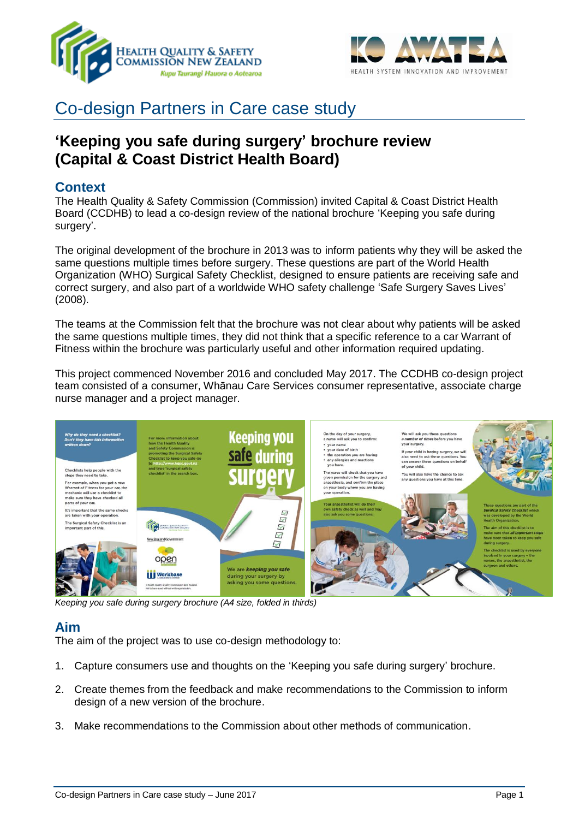



# Co-design Partners in Care case study

## **'Keeping you safe during surgery' brochure review (Capital & Coast District Health Board)**

## **Context**

The Health Quality & Safety Commission (Commission) invited Capital & Coast District Health Board (CCDHB) to lead a co-design review of the national brochure 'Keeping you safe during surgery'.

The original development of the brochure in 2013 was to inform patients why they will be asked the same questions multiple times before surgery. These questions are part of the World Health Organization (WHO) Surgical Safety Checklist, designed to ensure patients are receiving safe and correct surgery, and also part of a worldwide WHO safety challenge 'Safe Surgery Saves Lives' (2008).

The teams at the Commission felt that the brochure was not clear about why patients will be asked the same questions multiple times, they did not think that a specific reference to a car Warrant of Fitness within the brochure was particularly useful and other information required updating.

This project commenced November 2016 and concluded May 2017. The CCDHB co-design project team consisted of a consumer, Whānau Care Services consumer representative, associate charge nurse manager and a project manager.



*Keeping you safe during surgery brochure (A4 size, folded in thirds)*

## **Aim**

The aim of the project was to use co-design methodology to:

- 1. Capture consumers use and thoughts on the 'Keeping you safe during surgery' brochure.
- 2. Create themes from the feedback and make recommendations to the Commission to inform design of a new version of the brochure.
- 3. Make recommendations to the Commission about other methods of communication.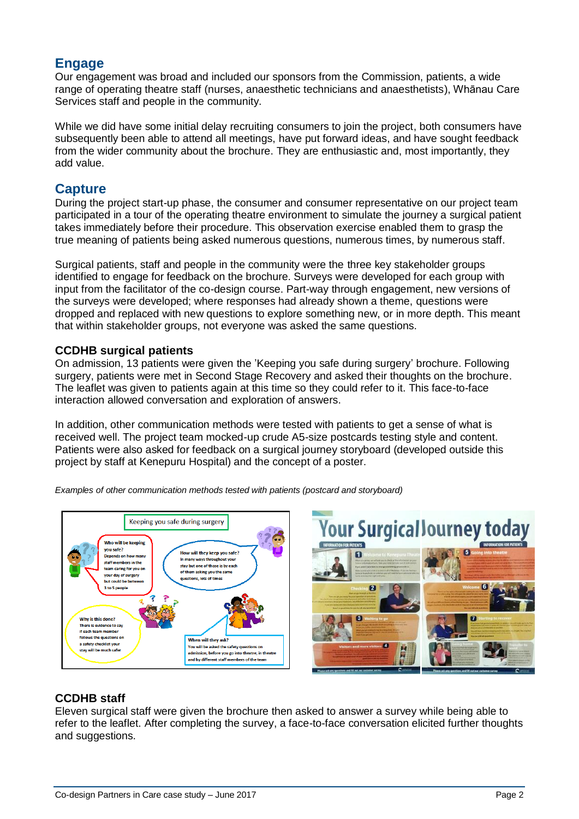## **Engage**

Our engagement was broad and included our sponsors from the Commission, patients, a wide range of operating theatre staff (nurses, anaesthetic technicians and anaesthetists), Whānau Care Services staff and people in the community.

While we did have some initial delay recruiting consumers to join the project, both consumers have subsequently been able to attend all meetings, have put forward ideas, and have sought feedback from the wider community about the brochure. They are enthusiastic and, most importantly, they add value.

## **Capture**

During the project start-up phase, the consumer and consumer representative on our project team participated in a tour of the operating theatre environment to simulate the journey a surgical patient takes immediately before their procedure. This observation exercise enabled them to grasp the true meaning of patients being asked numerous questions, numerous times, by numerous staff.

Surgical patients, staff and people in the community were the three key stakeholder groups identified to engage for feedback on the brochure. Surveys were developed for each group with input from the facilitator of the co-design course. Part-way through engagement, new versions of the surveys were developed; where responses had already shown a theme, questions were dropped and replaced with new questions to explore something new, or in more depth. This meant that within stakeholder groups, not everyone was asked the same questions.

#### **CCDHB surgical patients**

On admission, 13 patients were given the 'Keeping you safe during surgery' brochure. Following surgery, patients were met in Second Stage Recovery and asked their thoughts on the brochure. The leaflet was given to patients again at this time so they could refer to it. This face-to-face interaction allowed conversation and exploration of answers.

In addition, other communication methods were tested with patients to get a sense of what is received well. The project team mocked-up crude A5-size postcards testing style and content. Patients were also asked for feedback on a surgical journey storyboard (developed outside this project by staff at Kenepuru Hospital) and the concept of a poster.



*Examples of other communication methods tested with patients (postcard and storyboard)* 



## **CCDHB staff**

Eleven surgical staff were given the brochure then asked to answer a survey while being able to refer to the leaflet. After completing the survey, a face-to-face conversation elicited further thoughts and suggestions.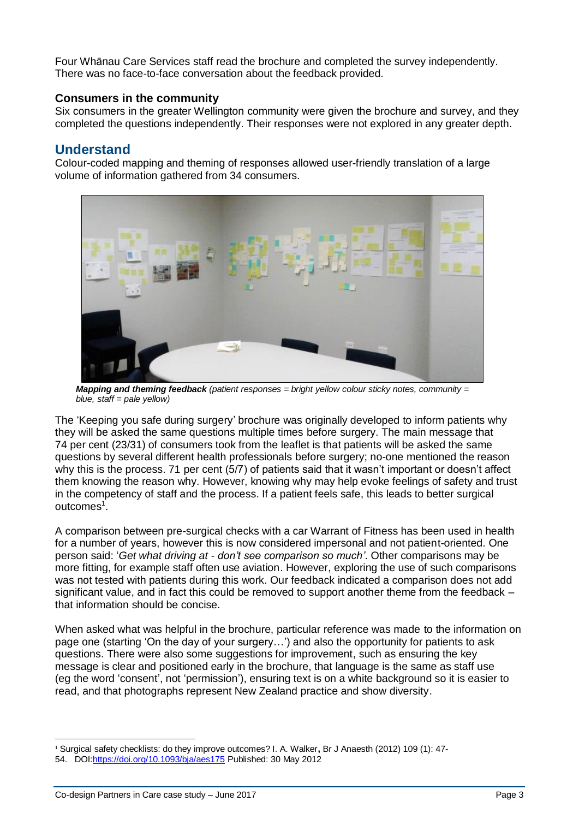Four Whānau Care Services staff read the brochure and completed the survey independently. There was no face-to-face conversation about the feedback provided.

#### **Consumers in the community**

Six consumers in the greater Wellington community were given the brochure and survey, and they completed the questions independently. Their responses were not explored in any greater depth.

## **Understand**

Colour-coded mapping and theming of responses allowed user-friendly translation of a large volume of information gathered from 34 consumers.



*Mapping and theming feedback (patient responses = bright yellow colour sticky notes, community = blue, staff = pale yellow)* 

The 'Keeping you safe during surgery' brochure was originally developed to inform patients why they will be asked the same questions multiple times before surgery. The main message that 74 per cent (23/31) of consumers took from the leaflet is that patients will be asked the same questions by several different health professionals before surgery; no-one mentioned the reason why this is the process. 71 per cent (5/7) of patients said that it wasn't important or doesn't affect them knowing the reason why. However, knowing why may help evoke feelings of safety and trust in the competency of staff and the process. If a patient feels safe, this leads to better surgical outcomes<sup>1</sup>.

A comparison between pre-surgical checks with a car Warrant of Fitness has been used in health for a number of years, however this is now considered impersonal and not patient-oriented. One person said: '*Get what driving at - don't see comparison so much'*. Other comparisons may be more fitting, for example staff often use aviation. However, exploring the use of such comparisons was not tested with patients during this work. Our feedback indicated a comparison does not add significant value, and in fact this could be removed to support another theme from the feedback – that information should be concise.

When asked what was helpful in the brochure, particular reference was made to the information on page one (starting 'On the day of your surgery…') and also the opportunity for patients to ask questions. There were also some suggestions for improvement, such as ensuring the key message is clear and positioned early in the brochure, that language is the same as staff use (eg the word 'consent', not 'permission'), ensuring text is on a white background so it is easier to read, and that photographs represent New Zealand practice and show diversity.

 <sup>1</sup> Surgical safety checklists: do they improve outcomes? I. A. Walker**,** Br J Anaesth (2012) 109 (1): 47-

<sup>54.</sup> DOI[:https://doi.org/10.1093/bja/aes175](https://doi.org/10.1093/bja/aes175) Published: 30 May 2012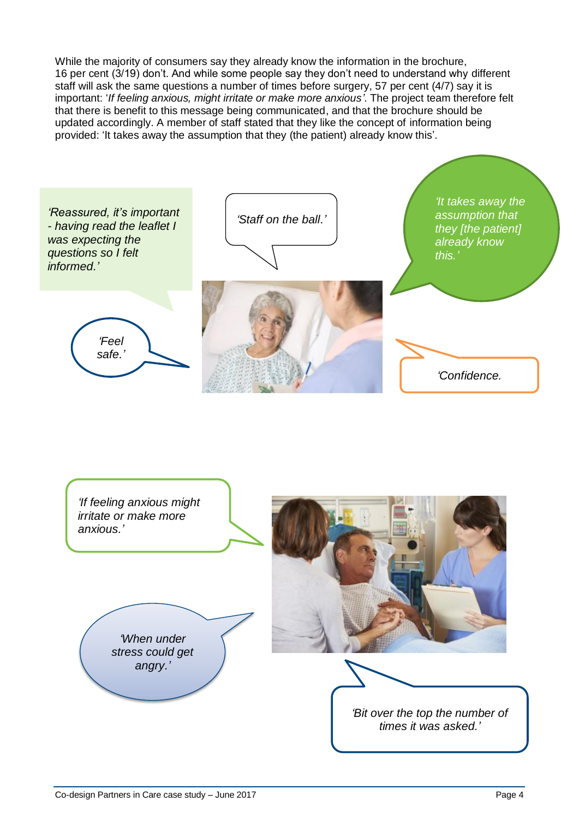While the majority of consumers say they already know the information in the brochure, 16 per cent (3/19) don't. And while some people say they don't need to understand why different staff will ask the same questions a number of times before surgery, 57 per cent (4/7) say it is important: '*If feeling anxious, might irritate or make more anxious'*. The project team therefore felt that there is benefit to this message being communicated, and that the brochure should be updated accordingly. A member of staff stated that they like the concept of information being provided: 'It takes away the assumption that they (the patient) already know this'.



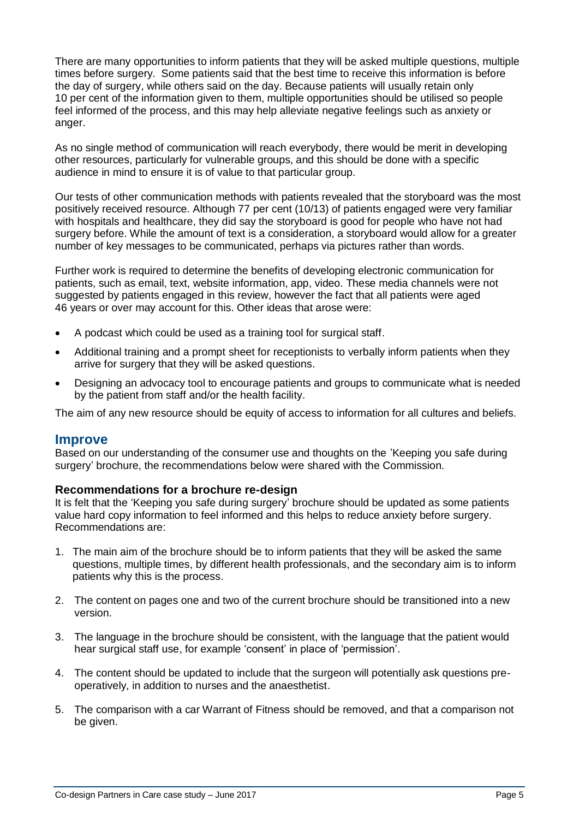There are many opportunities to inform patients that they will be asked multiple questions, multiple times before surgery. Some patients said that the best time to receive this information is before the day of surgery, while others said on the day. Because patients will usually retain only 10 per cent of the information given to them, multiple opportunities should be utilised so people feel informed of the process, and this may help alleviate negative feelings such as anxiety or anger.

As no single method of communication will reach everybody, there would be merit in developing other resources, particularly for vulnerable groups, and this should be done with a specific audience in mind to ensure it is of value to that particular group.

Our tests of other communication methods with patients revealed that the storyboard was the most positively received resource. Although 77 per cent (10/13) of patients engaged were very familiar with hospitals and healthcare, they did say the storyboard is good for people who have not had surgery before. While the amount of text is a consideration, a storyboard would allow for a greater number of key messages to be communicated, perhaps via pictures rather than words.

Further work is required to determine the benefits of developing electronic communication for patients, such as email, text, website information, app, video. These media channels were not suggested by patients engaged in this review, however the fact that all patients were aged 46 years or over may account for this. Other ideas that arose were:

- A podcast which could be used as a training tool for surgical staff.
- Additional training and a prompt sheet for receptionists to verbally inform patients when they arrive for surgery that they will be asked questions.
- Designing an advocacy tool to encourage patients and groups to communicate what is needed by the patient from staff and/or the health facility.

The aim of any new resource should be equity of access to information for all cultures and beliefs.

#### **Improve**

Based on our understanding of the consumer use and thoughts on the 'Keeping you safe during surgery' brochure, the recommendations below were shared with the Commission.

#### **Recommendations for a brochure re-design**

It is felt that the 'Keeping you safe during surgery' brochure should be updated as some patients value hard copy information to feel informed and this helps to reduce anxiety before surgery. Recommendations are:

- 1. The main aim of the brochure should be to inform patients that they will be asked the same questions, multiple times, by different health professionals, and the secondary aim is to inform patients why this is the process.
- 2. The content on pages one and two of the current brochure should be transitioned into a new version.
- 3. The language in the brochure should be consistent, with the language that the patient would hear surgical staff use, for example 'consent' in place of 'permission'.
- 4. The content should be updated to include that the surgeon will potentially ask questions preoperatively, in addition to nurses and the anaesthetist.
- 5. The comparison with a car Warrant of Fitness should be removed, and that a comparison not be given.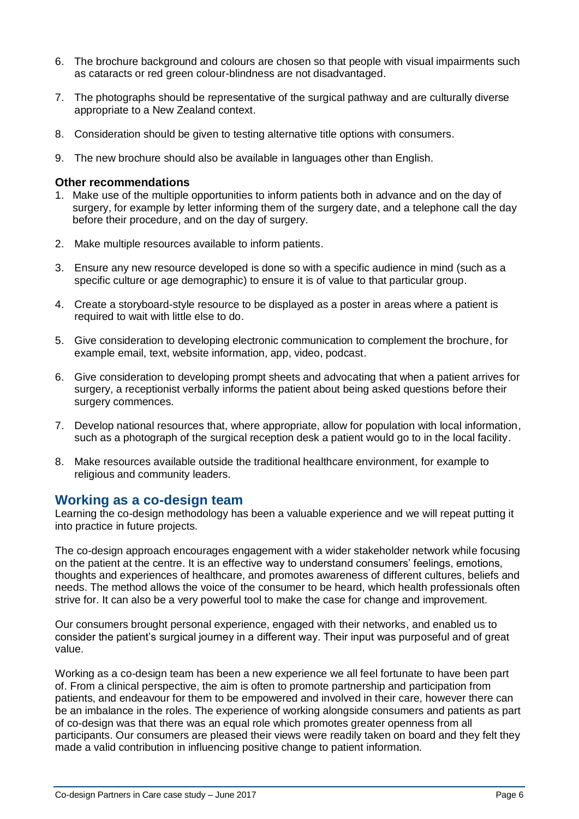- 6. The brochure background and colours are chosen so that people with visual impairments such as cataracts or red green colour-blindness are not disadvantaged.
- 7. The photographs should be representative of the surgical pathway and are culturally diverse appropriate to a New Zealand context.
- 8. Consideration should be given to testing alternative title options with consumers.
- 9. The new brochure should also be available in languages other than English.

#### **Other recommendations**

- 1. Make use of the multiple opportunities to inform patients both in advance and on the day of surgery, for example by letter informing them of the surgery date, and a telephone call the day before their procedure, and on the day of surgery.
- 2. Make multiple resources available to inform patients.
- 3. Ensure any new resource developed is done so with a specific audience in mind (such as a specific culture or age demographic) to ensure it is of value to that particular group.
- 4. Create a storyboard-style resource to be displayed as a poster in areas where a patient is required to wait with little else to do.
- 5. Give consideration to developing electronic communication to complement the brochure, for example email, text, website information, app, video, podcast.
- 6. Give consideration to developing prompt sheets and advocating that when a patient arrives for surgery, a receptionist verbally informs the patient about being asked questions before their surgery commences.
- 7. Develop national resources that, where appropriate, allow for population with local information, such as a photograph of the surgical reception desk a patient would go to in the local facility.
- 8. Make resources available outside the traditional healthcare environment, for example to religious and community leaders.

#### **Working as a co-design team**

Learning the co-design methodology has been a valuable experience and we will repeat putting it into practice in future projects.

The co-design approach encourages engagement with a wider stakeholder network while focusing on the patient at the centre. It is an effective way to understand consumers' feelings, emotions, thoughts and experiences of healthcare, and promotes awareness of different cultures, beliefs and needs. The method allows the voice of the consumer to be heard, which health professionals often strive for. It can also be a very powerful tool to make the case for change and improvement.

Our consumers brought personal experience, engaged with their networks, and enabled us to consider the patient's surgical journey in a different way. Their input was purposeful and of great value.

Working as a co-design team has been a new experience we all feel fortunate to have been part of. From a clinical perspective, the aim is often to promote partnership and participation from patients, and endeavour for them to be empowered and involved in their care, however there can be an imbalance in the roles. The experience of working alongside consumers and patients as part of co-design was that there was an equal role which promotes greater openness from all participants. Our consumers are pleased their views were readily taken on board and they felt they made a valid contribution in influencing positive change to patient information.